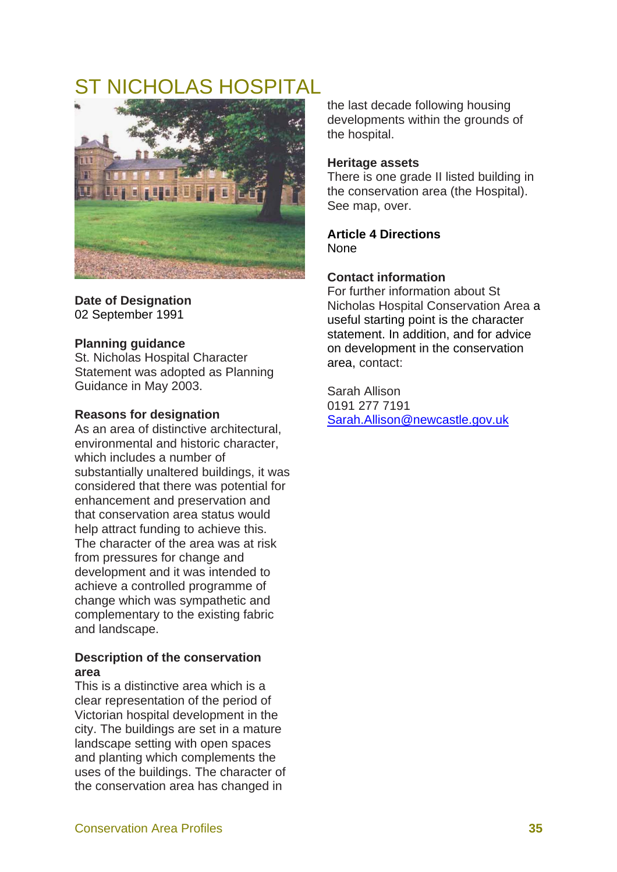# ST NICHOLAS HOSPITAL



**Date of Designation**  02 September 1991

## **Planning guidance**

St. Nicholas Hospital Character Statement was adopted as Planning Guidance in May 2003.

## **Reasons for designation**

As an area of distinctive architectural, environmental and historic character, which includes a number of substantially unaltered buildings, it was considered that there was potential for enhancement and preservation and that conservation area status would help attract funding to achieve this. The character of the area was at risk from pressures for change and development and it was intended to achieve a controlled programme of change which was sympathetic and complementary to the existing fabric and landscape.

## **Description of the conservation area**

This is a distinctive area which is a clear representation of the period of Victorian hospital development in the city. The buildings are set in a mature landscape setting with open spaces and planting which complements the uses of the buildings. The character of the conservation area has changed in

the last decade following housing developments within the grounds of the hospital.

### **Heritage assets**

There is one grade II listed building in the conservation area (the Hospital). See map, over.

**Article 4 Directions**  None

## **Contact information**

For further information about St Nicholas Hospital Conservation Area a useful starting point is the character statement. In addition, and for advice on development in the conservation area, contact:

Sarah Allison 0191 277 7191 Sarah.Allison@newcastle.gov.uk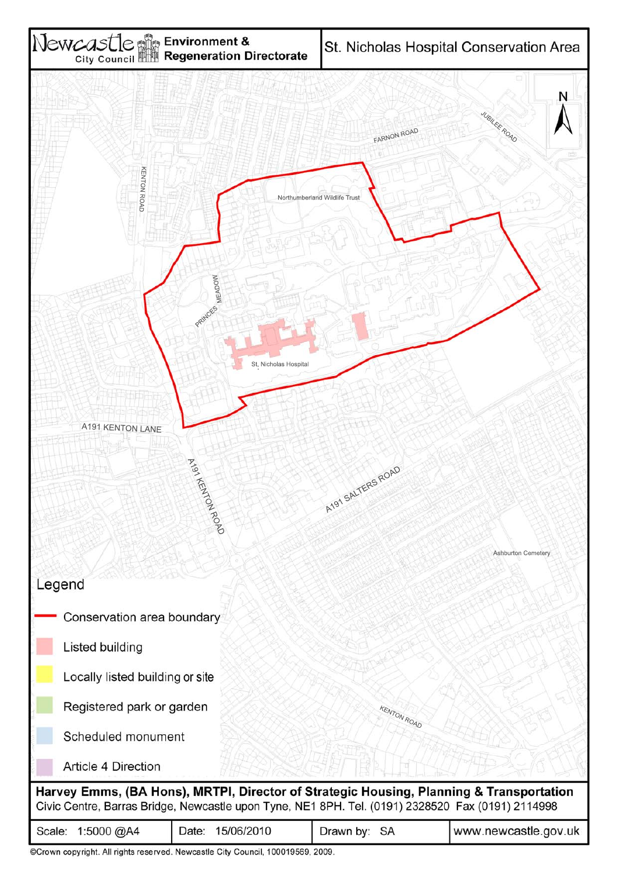

| ©Crown copyright. All rights reserved. Newcastle City Council, 100019569, 2009. |  |  |  |  |
|---------------------------------------------------------------------------------|--|--|--|--|
|---------------------------------------------------------------------------------|--|--|--|--|